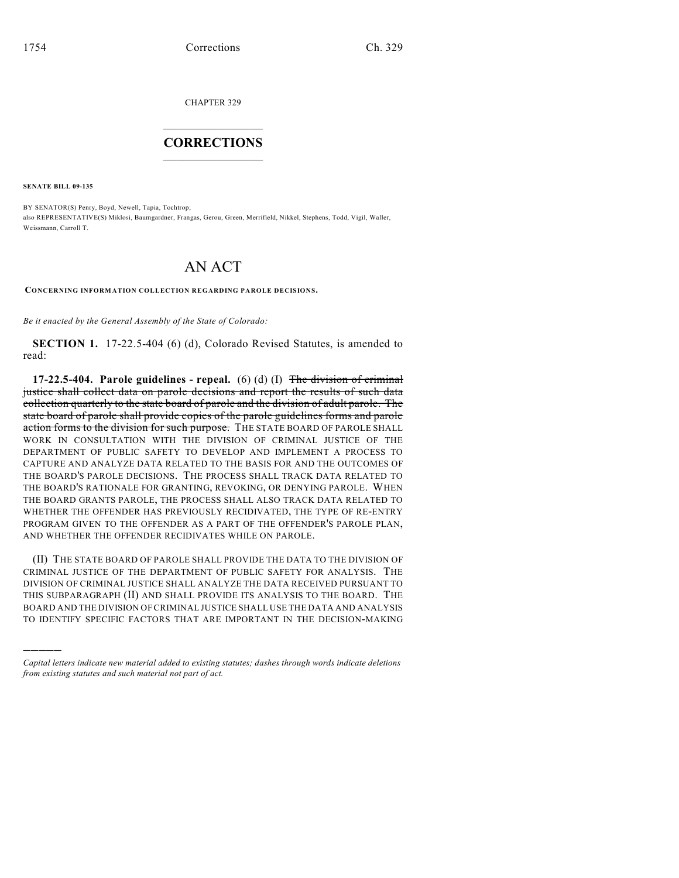CHAPTER 329

## $\overline{\phantom{a}}$  . The set of the set of the set of the set of the set of the set of the set of the set of the set of the set of the set of the set of the set of the set of the set of the set of the set of the set of the set o **CORRECTIONS**  $\frac{1}{2}$  ,  $\frac{1}{2}$  ,  $\frac{1}{2}$  ,  $\frac{1}{2}$  ,  $\frac{1}{2}$  ,  $\frac{1}{2}$

**SENATE BILL 09-135**

)))))

BY SENATOR(S) Penry, Boyd, Newell, Tapia, Tochtrop; also REPRESENTATIVE(S) Miklosi, Baumgardner, Frangas, Gerou, Green, Merrifield, Nikkel, Stephens, Todd, Vigil, Waller, Weissmann, Carroll T.

## AN ACT

**CONCERNING INFORMATION COLLECTION REGARDING PAROLE DECISIONS.**

*Be it enacted by the General Assembly of the State of Colorado:*

**SECTION 1.** 17-22.5-404 (6) (d), Colorado Revised Statutes, is amended to read:

**17-22.5-404. Parole guidelines - repeal.** (6) (d) (I) The division of criminal justice shall collect data on parole decisions and report the results of such data collection quarterly to the state board of parole and the division of adult parole. The state board of parole shall provide copies of the parole guidelines forms and parole action forms to the division for such purpose. THE STATE BOARD OF PAROLE SHALL WORK IN CONSULTATION WITH THE DIVISION OF CRIMINAL JUSTICE OF THE DEPARTMENT OF PUBLIC SAFETY TO DEVELOP AND IMPLEMENT A PROCESS TO CAPTURE AND ANALYZE DATA RELATED TO THE BASIS FOR AND THE OUTCOMES OF THE BOARD'S PAROLE DECISIONS. THE PROCESS SHALL TRACK DATA RELATED TO THE BOARD'S RATIONALE FOR GRANTING, REVOKING, OR DENYING PAROLE. WHEN THE BOARD GRANTS PAROLE, THE PROCESS SHALL ALSO TRACK DATA RELATED TO WHETHER THE OFFENDER HAS PREVIOUSLY RECIDIVATED, THE TYPE OF RE-ENTRY PROGRAM GIVEN TO THE OFFENDER AS A PART OF THE OFFENDER'S PAROLE PLAN, AND WHETHER THE OFFENDER RECIDIVATES WHILE ON PAROLE.

(II) THE STATE BOARD OF PAROLE SHALL PROVIDE THE DATA TO THE DIVISION OF CRIMINAL JUSTICE OF THE DEPARTMENT OF PUBLIC SAFETY FOR ANALYSIS. THE DIVISION OF CRIMINAL JUSTICE SHALL ANALYZE THE DATA RECEIVED PURSUANT TO THIS SUBPARAGRAPH (II) AND SHALL PROVIDE ITS ANALYSIS TO THE BOARD. THE BOARD AND THE DIVISION OF CRIMINAL JUSTICE SHALL USE THE DATA AND ANALYSIS TO IDENTIFY SPECIFIC FACTORS THAT ARE IMPORTANT IN THE DECISION-MAKING

*Capital letters indicate new material added to existing statutes; dashes through words indicate deletions from existing statutes and such material not part of act.*